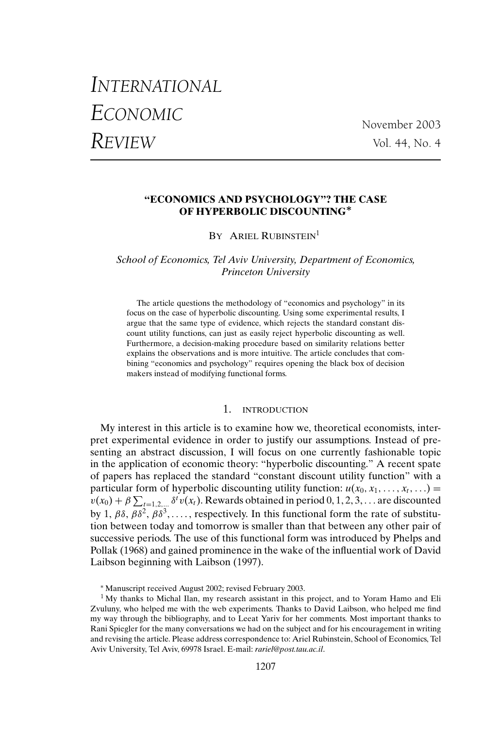# *INTERNATIONAL ECONOMIC REVIEW*

November 2003 Vol. 44, No. 4

# **"ECONOMICS AND PSYCHOLOGY"? THE CASE OF HYPERBOLIC DISCOUNTING***∗*

BY ARIEL RUBINSTEIN<sup>1</sup>

*School of Economics, Tel Aviv University, Department of Economics, Princeton University*

The article questions the methodology of "economics and psychology" in its focus on the case of hyperbolic discounting. Using some experimental results, I argue that the same type of evidence, which rejects the standard constant discount utility functions, can just as easily reject hyperbolic discounting as well. Furthermore, a decision-making procedure based on similarity relations better explains the observations and is more intuitive. The article concludes that combining "economics and psychology" requires opening the black box of decision makers instead of modifying functional forms.

## 1. INTRODUCTION

My interest in this article is to examine how we, theoretical economists, interpret experimental evidence in order to justify our assumptions. Instead of presenting an abstract discussion, I will focus on one currently fashionable topic in the application of economic theory: "hyperbolic discounting." A recent spate of papers has replaced the standard "constant discount utility function" with a particular form of hyperbolic discounting utility function:  $u(x_0, x_1, \ldots, x_t, \ldots) =$  $v(x_0) + \beta \sum_{t=1,2,...} \delta^t v(x_t)$ . Rewards obtained in period 0, 1, 2, 3, ... are discounted by 1,  $\beta\delta$ ,  $\beta\delta^2$ ,  $\beta\delta^3$ , ..., respectively. In this functional form the rate of substitution between today and tomorrow is smaller than that between any other pair of successive periods. The use of this functional form was introduced by Phelps and Pollak (1968) and gained prominence in the wake of the influential work of David Laibson beginning with Laibson (1997).

∗ Manuscript received August 2002; revised February 2003.

 $<sup>1</sup>$  My thanks to Michal Ilan, my research assistant in this project, and to Yoram Hamo and Eli</sup> Zvuluny, who helped me with the web experiments. Thanks to David Laibson, who helped me find my way through the bibliography, and to Leeat Yariv for her comments. Most important thanks to Rani Spiegler for the many conversations we had on the subject and for his encouragement in writing and revising the article. Please address correspondence to: Ariel Rubinstein, School of Economics, Tel Aviv University, Tel Aviv, 69978 Israel. E-mail: *rariel@post.tau.ac.il*.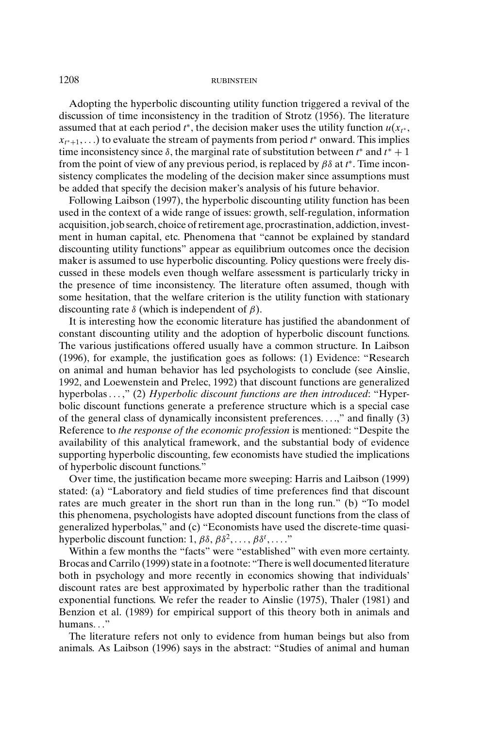Adopting the hyperbolic discounting utility function triggered a revival of the discussion of time inconsistency in the tradition of Strotz (1956). The literature assumed that at each period  $t^*$ , the decision maker uses the utility function  $u(x_{t^*},$ *x*<sub>*t*<sup>∗</sup>+1</sub>,...) to evaluate the stream of payments from period *t*<sup>∗</sup> onward. This implies time inconsistency since  $\delta$ , the marginal rate of substitution between  $t^*$  and  $t^* + 1$ from the point of view of any previous period, is replaced by βδ at *t* ∗. Time inconsistency complicates the modeling of the decision maker since assumptions must be added that specify the decision maker's analysis of his future behavior.

Following Laibson (1997), the hyperbolic discounting utility function has been used in the context of a wide range of issues: growth, self-regulation, information acquisition, job search, choice of retirement age, procrastination, addiction, investment in human capital, etc. Phenomena that "cannot be explained by standard discounting utility functions" appear as equilibrium outcomes once the decision maker is assumed to use hyperbolic discounting. Policy questions were freely discussed in these models even though welfare assessment is particularly tricky in the presence of time inconsistency. The literature often assumed, though with some hesitation, that the welfare criterion is the utility function with stationary discounting rate  $\delta$  (which is independent of  $\beta$ ).

It is interesting how the economic literature has justified the abandonment of constant discounting utility and the adoption of hyperbolic discount functions. The various justifications offered usually have a common structure. In Laibson (1996), for example, the justification goes as follows: (1) Evidence: "Research on animal and human behavior has led psychologists to conclude (see Ainslie, 1992, and Loewenstein and Prelec, 1992) that discount functions are generalized hyperbolas... ," (2) *Hyperbolic discount functions are then introduced*: "Hyperbolic discount functions generate a preference structure which is a special case of the general class of dynamically inconsistent preferences... .," and finally (3) Reference to *the response of the economic profession* is mentioned: "Despite the availability of this analytical framework, and the substantial body of evidence supporting hyperbolic discounting, few economists have studied the implications of hyperbolic discount functions."

Over time, the justification became more sweeping: Harris and Laibson (1999) stated: (a) "Laboratory and field studies of time preferences find that discount rates are much greater in the short run than in the long run." (b) "To model this phenomena, psychologists have adopted discount functions from the class of generalized hyperbolas," and (c) "Economists have used the discrete-time quasihyperbolic discount function:  $1, \beta\delta, \beta\delta^2, \ldots, \beta\delta^t, \ldots$ <sup>n</sup>

Within a few months the "facts" were "established" with even more certainty. Brocas and Carrilo (1999) state in a footnote: "There is well documented literature both in psychology and more recently in economics showing that individuals' discount rates are best approximated by hyperbolic rather than the traditional exponential functions. We refer the reader to Ainslie (1975), Thaler (1981) and Benzion et al. (1989) for empirical support of this theory both in animals and humans..."

The literature refers not only to evidence from human beings but also from animals. As Laibson (1996) says in the abstract: "Studies of animal and human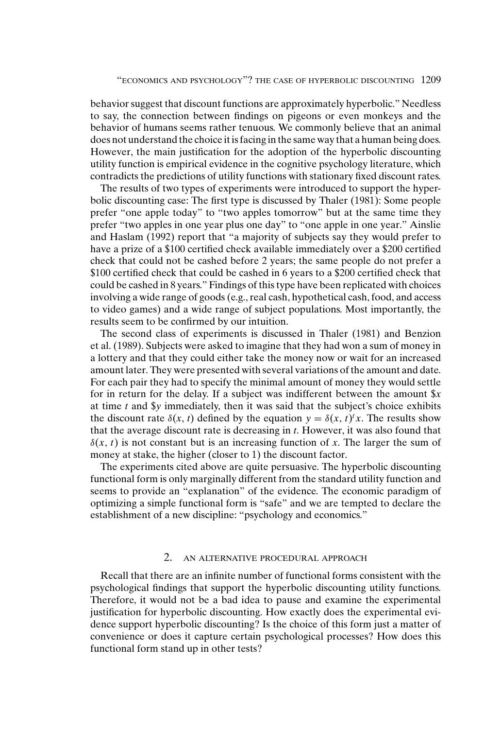behavior suggest that discount functions are approximately hyperbolic." Needless to say, the connection between findings on pigeons or even monkeys and the behavior of humans seems rather tenuous. We commonly believe that an animal does not understand the choice it is facing in the same way that a human being does. However, the main justification for the adoption of the hyperbolic discounting utility function is empirical evidence in the cognitive psychology literature, which contradicts the predictions of utility functions with stationary fixed discount rates.

The results of two types of experiments were introduced to support the hyperbolic discounting case: The first type is discussed by Thaler (1981): Some people prefer "one apple today" to "two apples tomorrow" but at the same time they prefer "two apples in one year plus one day" to "one apple in one year." Ainslie and Haslam (1992) report that "a majority of subjects say they would prefer to have a prize of a \$100 certified check available immediately over a \$200 certified check that could not be cashed before 2 years; the same people do not prefer a \$100 certified check that could be cashed in 6 years to a \$200 certified check that could be cashed in 8 years." Findings of this type have been replicated with choices involving a wide range of goods (e.g., real cash, hypothetical cash, food, and access to video games) and a wide range of subject populations. Most importantly, the results seem to be confirmed by our intuition.

The second class of experiments is discussed in Thaler (1981) and Benzion et al. (1989). Subjects were asked to imagine that they had won a sum of money in a lottery and that they could either take the money now or wait for an increased amount later. They were presented with several variations of the amount and date. For each pair they had to specify the minimal amount of money they would settle for in return for the delay. If a subject was indifferent between the amount \$*x* at time *t* and \$*y* immediately, then it was said that the subject's choice exhibits the discount rate  $\delta(x, t)$  defined by the equation  $y = \delta(x, t)^t x$ . The results show that the average discount rate is decreasing in *t*. However, it was also found that  $\delta(x, t)$  is not constant but is an increasing function of x. The larger the sum of money at stake, the higher (closer to 1) the discount factor.

The experiments cited above are quite persuasive. The hyperbolic discounting functional form is only marginally different from the standard utility function and seems to provide an "explanation" of the evidence. The economic paradigm of optimizing a simple functional form is "safe" and we are tempted to declare the establishment of a new discipline: "psychology and economics."

## 2. AN ALTERNATIVE PROCEDURAL APPROACH

Recall that there are an infinite number of functional forms consistent with the psychological findings that support the hyperbolic discounting utility functions. Therefore, it would not be a bad idea to pause and examine the experimental justification for hyperbolic discounting. How exactly does the experimental evidence support hyperbolic discounting? Is the choice of this form just a matter of convenience or does it capture certain psychological processes? How does this functional form stand up in other tests?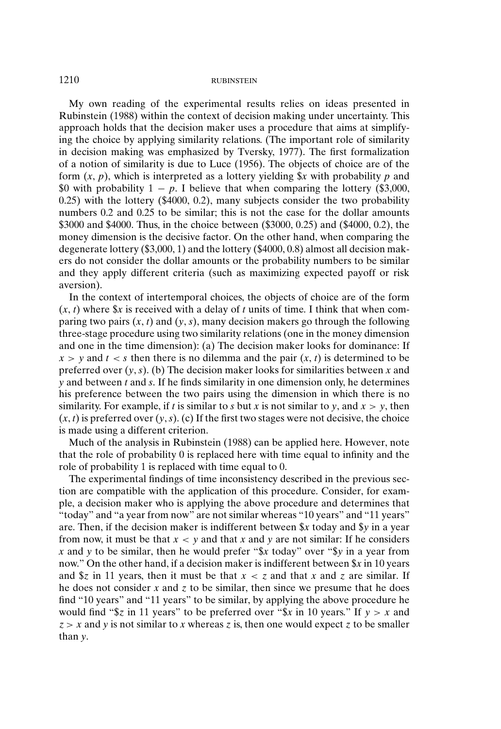My own reading of the experimental results relies on ideas presented in Rubinstein (1988) within the context of decision making under uncertainty. This approach holds that the decision maker uses a procedure that aims at simplifying the choice by applying similarity relations. (The important role of similarity in decision making was emphasized by Tversky, 1977). The first formalization of a notion of similarity is due to Luce (1956). The objects of choice are of the form  $(x, p)$ , which is interpreted as a lottery yielding  $x$  with probability p and \$0 with probability  $1 - p$ . I believe that when comparing the lottery (\$3,000, 0.25) with the lottery (\$4000, 0.2), many subjects consider the two probability numbers 0.2 and 0.25 to be similar; this is not the case for the dollar amounts \$3000 and \$4000. Thus, in the choice between (\$3000, 0.25) and (\$4000, 0.2), the money dimension is the decisive factor. On the other hand, when comparing the degenerate lottery (\$3,000, 1) and the lottery (\$4000, 0.8) almost all decision makers do not consider the dollar amounts or the probability numbers to be similar and they apply different criteria (such as maximizing expected payoff or risk aversion).

In the context of intertemporal choices, the objects of choice are of the form  $(x, t)$  where  $x$  is received with a delay of *t* units of time. I think that when comparing two pairs  $(x, t)$  and  $(y, s)$ , many decision makers go through the following three-stage procedure using two similarity relations (one in the money dimension and one in the time dimension): (a) The decision maker looks for dominance: If  $x > y$  and  $t < s$  then there is no dilemma and the pair  $(x, t)$  is determined to be preferred over  $(y, s)$ . (b) The decision maker looks for similarities between *x* and *y* and between *t* and *s*. If he finds similarity in one dimension only, he determines his preference between the two pairs using the dimension in which there is no similarity. For example, if *t* is similar to *s* but *x* is not similar to *y*, and  $x > y$ , then  $(x, t)$  is preferred over  $(y, s)$ . (c) If the first two stages were not decisive, the choice is made using a different criterion.

Much of the analysis in Rubinstein (1988) can be applied here. However, note that the role of probability 0 is replaced here with time equal to infinity and the role of probability 1 is replaced with time equal to 0.

The experimental findings of time inconsistency described in the previous section are compatible with the application of this procedure. Consider, for example, a decision maker who is applying the above procedure and determines that "today" and "a year from now" are not similar whereas "10 years" and "11 years" are. Then, if the decision maker is indifferent between \$*x* today and \$*y* in a year from now, it must be that  $x < y$  and that x and y are not similar: If he considers *x* and *y* to be similar, then he would prefer "\$*x* today" over "\$*y* in a year from now." On the other hand, if a decision maker is indifferent between \$*x* in 10 years and  $\xi$ z in 11 years, then it must be that  $x < z$  and that x and z are similar. If he does not consider  $x$  and  $z$  to be similar, then since we presume that he does find "10 years" and "11 years" to be similar, by applying the above procedure he would find " $\oint z$  in 11 years" to be preferred over " $\oint x$  in 10 years." If  $y > x$  and  $z > x$  and *y* is not similar to *x* whereas *z* is, then one would expect *z* to be smaller than *y*.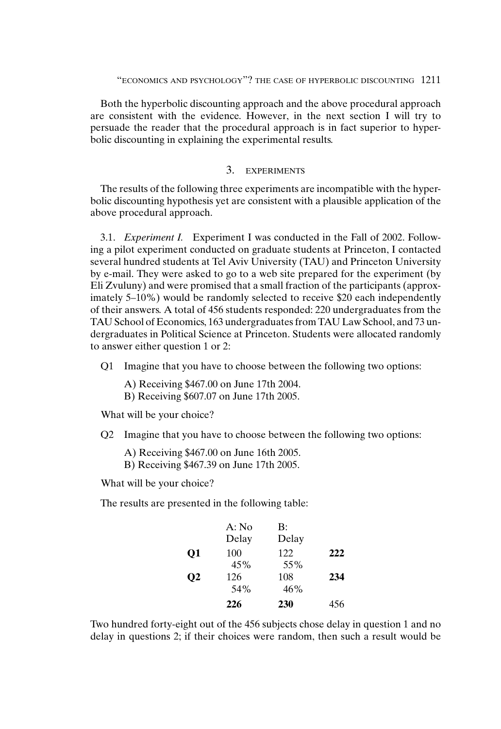Both the hyperbolic discounting approach and the above procedural approach are consistent with the evidence. However, in the next section I will try to persuade the reader that the procedural approach is in fact superior to hyperbolic discounting in explaining the experimental results.

# 3. EXPERIMENTS

The results of the following three experiments are incompatible with the hyperbolic discounting hypothesis yet are consistent with a plausible application of the above procedural approach.

3.1. *Experiment I.* Experiment I was conducted in the Fall of 2002. Following a pilot experiment conducted on graduate students at Princeton, I contacted several hundred students at Tel Aviv University (TAU) and Princeton University by e-mail. They were asked to go to a web site prepared for the experiment (by Eli Zvuluny) and were promised that a small fraction of the participants (approximately 5–10%) would be randomly selected to receive \$20 each independently of their answers. A total of 456 students responded: 220 undergraduates from the TAU School of Economics, 163 undergraduates from TAU Law School, and 73 undergraduates in Political Science at Princeton. Students were allocated randomly to answer either question 1 or 2:

Q1 Imagine that you have to choose between the following two options:

A) Receiving \$467.00 on June 17th 2004.

B) Receiving \$607.07 on June 17th 2005.

What will be your choice?

Q2 Imagine that you have to choose between the following two options:

A) Receiving \$467.00 on June 16th 2005.

B) Receiving \$467.39 on June 17th 2005.

What will be your choice?

The results are presented in the following table:

|           | A: No | $\rm B:$ |     |
|-----------|-------|----------|-----|
|           | Delay | Delay    |     |
| <b>Q1</b> | 100   | 122.     | 222 |
|           | 45%   | 55%      |     |
| <b>Q2</b> | 126   | 108      | 234 |
|           | 54%   | 46%      |     |
|           | 226   | 230      | 456 |

Two hundred forty-eight out of the 456 subjects chose delay in question 1 and no delay in questions 2; if their choices were random, then such a result would be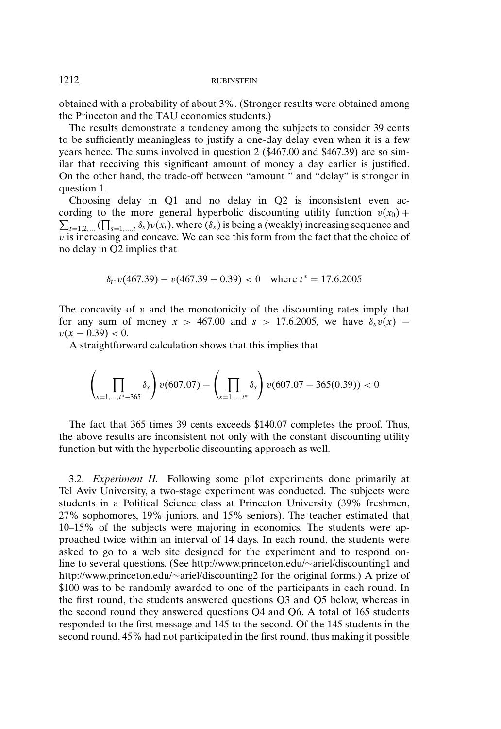obtained with a probability of about 3%. (Stronger results were obtained among the Princeton and the TAU economics students.)

The results demonstrate a tendency among the subjects to consider 39 cents to be sufficiently meaningless to justify a one-day delay even when it is a few years hence. The sums involved in question 2 (\$467.00 and \$467.39) are so similar that receiving this significant amount of money a day earlier is justified. On the other hand, the trade-off between "amount " and "delay" is stronger in question 1.

Choosing delay in Q1 and no delay in Q2 is inconsistent even according to the more general hyperbolic discounting utility function  $v(x_0) +$  $\sum_{t=1,2,...} (\prod_{s=1,...,t} \delta_s) v(x_t)$ , where  $(\delta_s)$  is being a (weakly) increasing sequence and  $v$  is increasing and concave. We can see this form from the fact that the choice of no delay in Q2 implies that

$$
\delta_{t^*}v(467.39) - v(467.39 - 0.39) < 0 \quad \text{where } t^* = 17.6.2005
$$

The concavity of  $v$  and the monotonicity of the discounting rates imply that for any sum of money  $x > 467.00$  and  $s > 17.6.2005$ , we have  $\delta_s v(x)$  –  $v(x - 0.39) < 0.$ 

A straightforward calculation shows that this implies that

$$
\left(\prod_{s=1,\dots,t^*-365}\delta_s\right) v(607.07) - \left(\prod_{s=1,\dots,t^*}\delta_s\right) v(607.07 - 365(0.39)) < 0
$$

The fact that 365 times 39 cents exceeds \$140.07 completes the proof. Thus, the above results are inconsistent not only with the constant discounting utility function but with the hyperbolic discounting approach as well.

3.2. *Experiment II.* Following some pilot experiments done primarily at Tel Aviv University, a two-stage experiment was conducted. The subjects were students in a Political Science class at Princeton University (39% freshmen, 27% sophomores, 19% juniors, and 15% seniors). The teacher estimated that 10–15% of the subjects were majoring in economics. The students were approached twice within an interval of 14 days. In each round, the students were asked to go to a web site designed for the experiment and to respond online to several questions. (See http://www.princeton.edu/∼ariel/discounting1 and http://www.princeton.edu/∼ariel/discounting2 for the original forms.) A prize of \$100 was to be randomly awarded to one of the participants in each round. In the first round, the students answered questions Q3 and Q5 below, whereas in the second round they answered questions Q4 and Q6. A total of 165 students responded to the first message and 145 to the second. Of the 145 students in the second round, 45% had not participated in the first round, thus making it possible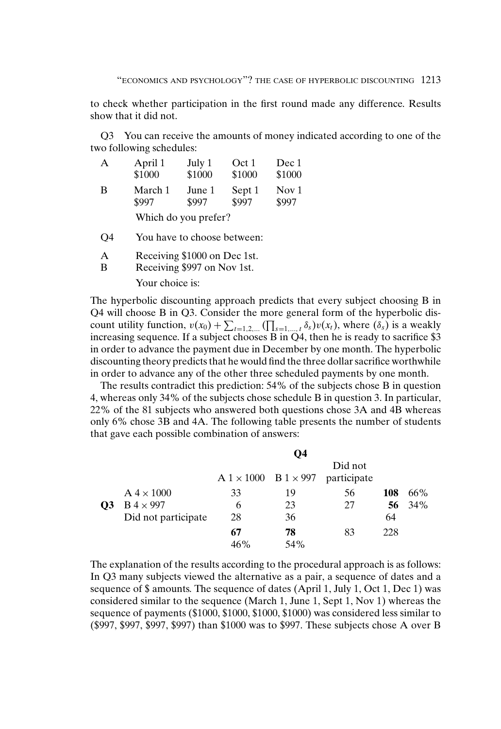to check whether participation in the first round made any difference. Results show that it did not.

Q3 You can receive the amounts of money indicated according to one of the two following schedules:

| A | April 1          | July 1               | Oct 1           | Dec 1                     |
|---|------------------|----------------------|-----------------|---------------------------|
|   | \$1000           | \$1000               | \$1000          | \$1000                    |
| B | March 1<br>\$997 | June 1<br>\$997      | Sept 1<br>\$997 | Nov <sub>1</sub><br>\$997 |
|   |                  | Which do you prefer? |                 |                           |

Q4 You have to choose between:

A Receiving \$1000 on Dec 1st.

B Receiving \$997 on Nov 1st.

Your choice is:

The hyperbolic discounting approach predicts that every subject choosing B in Q4 will choose B in Q3. Consider the more general form of the hyperbolic discount utility function,  $v(x_0) + \sum_{t=1,2,...} (\prod_{s=1,...,t} \delta_s) v(x_t)$ , where  $(\delta_s)$  is a weakly increasing sequence. If a subject chooses B in Q4, then he is ready to sacrifice \$3 in order to advance the payment due in December by one month. The hyperbolic discounting theory predicts that he would find the three dollar sacrifice worthwhile in order to advance any of the other three scheduled payments by one month.

The results contradict this prediction: 54% of the subjects chose B in question 4, whereas only 34% of the subjects chose schedule B in question 3. In particular, 22% of the 81 subjects who answered both questions chose 3A and 4B whereas only 6% chose 3B and 4A. The following table presents the number of students that gave each possible combination of answers:

|    |                     |                                    | Q4  |             |     |        |
|----|---------------------|------------------------------------|-----|-------------|-----|--------|
|    |                     |                                    |     | Did not     |     |        |
|    |                     | $A 1 \times 1000$ $B 1 \times 997$ |     | participate |     |        |
|    | $A$ 4 $\times$ 1000 | 33                                 | 19  | 56          | 108 | 66%    |
| 03 | $B$ 4 $\times$ 997  | 6                                  | 23  | 27          |     | 56 34% |
|    | Did not participate | 28                                 | 36  |             | 64  |        |
|    |                     | 67                                 | 78  | 83          | 228 |        |
|    |                     | 46%                                | 54% |             |     |        |

The explanation of the results according to the procedural approach is as follows: In Q3 many subjects viewed the alternative as a pair, a sequence of dates and a sequence of \$ amounts. The sequence of dates (April 1, July 1, Oct 1, Dec 1) was considered similar to the sequence (March 1, June 1, Sept 1, Nov 1) whereas the sequence of payments (\$1000, \$1000, \$1000, \$1000) was considered less similar to (\$997, \$997, \$997, \$997) than \$1000 was to \$997. These subjects chose A over B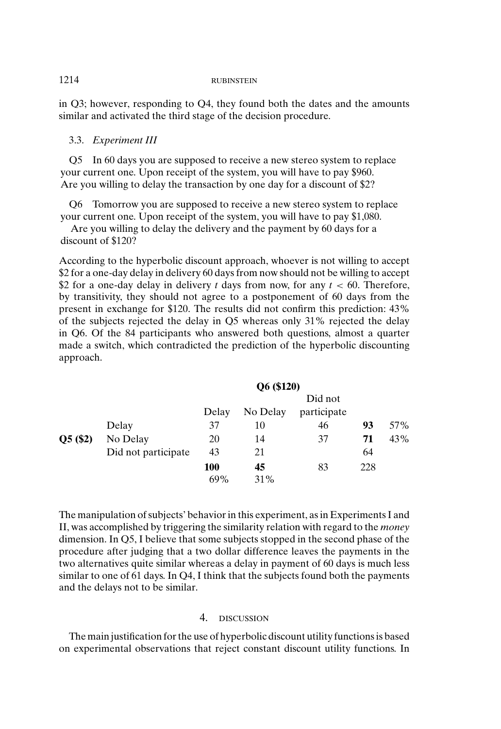in Q3; however, responding to Q4, they found both the dates and the amounts similar and activated the third stage of the decision procedure.

#### 3.3. *Experiment III*

Q5 In 60 days you are supposed to receive a new stereo system to replace your current one. Upon receipt of the system, you will have to pay \$960. Are you willing to delay the transaction by one day for a discount of \$2?

Q6 Tomorrow you are supposed to receive a new stereo system to replace your current one. Upon receipt of the system, you will have to pay \$1,080.

Are you willing to delay the delivery and the payment by 60 days for a discount of \$120?

According to the hyperbolic discount approach, whoever is not willing to accept \$2 for a one-day delay in delivery 60 days from now should not be willing to accept \$2 for a one-day delay in delivery  $t$  days from now, for any  $t < 60$ . Therefore, by transitivity, they should not agree to a postponement of 60 days from the present in exchange for \$120. The results did not confirm this prediction: 43% of the subjects rejected the delay in Q5 whereas only 31% rejected the delay in Q6. Of the 84 participants who answered both questions, almost a quarter made a switch, which contradicted the prediction of the hyperbolic discounting approach.

|         |                     | Q6 (\$120) |          |             |     |     |
|---------|---------------------|------------|----------|-------------|-----|-----|
|         |                     | Did not    |          |             |     |     |
|         |                     | Delay      | No Delay | participate |     |     |
|         | Delay               | 37         | 10       | 46          | 93  | 57% |
| Q5(\$2) | No Delay            | 20         | 14       | 37          | 71  | 43% |
|         | Did not participate | 43         | 21       |             | 64  |     |
|         |                     | <b>100</b> | 45       | 83          | 228 |     |
|         |                     | 69%        | 31%      |             |     |     |

The manipulation of subjects' behavior in this experiment, as in Experiments I and II, was accomplished by triggering the similarity relation with regard to the *money* dimension. In Q5, I believe that some subjects stopped in the second phase of the procedure after judging that a two dollar difference leaves the payments in the two alternatives quite similar whereas a delay in payment of 60 days is much less similar to one of 61 days. In Q4, I think that the subjects found both the payments and the delays not to be similar.

## 4. DISCUSSION

The main justification for the use of hyperbolic discount utility functions is based on experimental observations that reject constant discount utility functions. In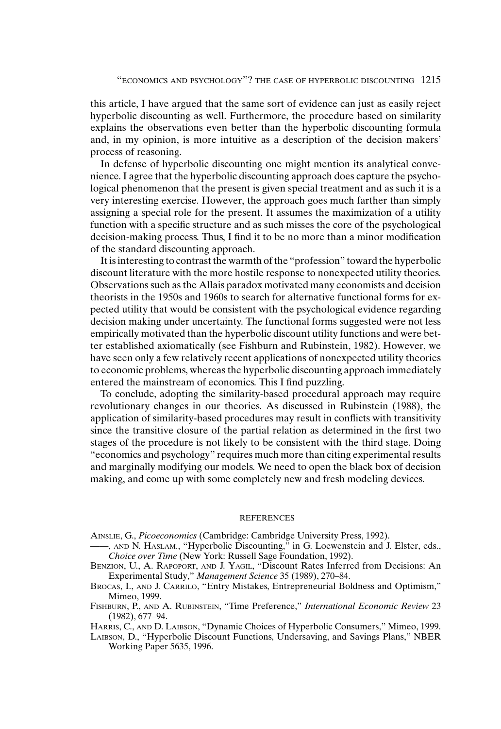this article, I have argued that the same sort of evidence can just as easily reject hyperbolic discounting as well. Furthermore, the procedure based on similarity explains the observations even better than the hyperbolic discounting formula and, in my opinion, is more intuitive as a description of the decision makers' process of reasoning.

In defense of hyperbolic discounting one might mention its analytical convenience. I agree that the hyperbolic discounting approach does capture the psychological phenomenon that the present is given special treatment and as such it is a very interesting exercise. However, the approach goes much farther than simply assigning a special role for the present. It assumes the maximization of a utility function with a specific structure and as such misses the core of the psychological decision-making process. Thus, I find it to be no more than a minor modification of the standard discounting approach.

It is interesting to contrast the warmth of the "profession" toward the hyperbolic discount literature with the more hostile response to nonexpected utility theories. Observations such as the Allais paradox motivated many economists and decision theorists in the 1950s and 1960s to search for alternative functional forms for expected utility that would be consistent with the psychological evidence regarding decision making under uncertainty. The functional forms suggested were not less empirically motivated than the hyperbolic discount utility functions and were better established axiomatically (see Fishburn and Rubinstein, 1982). However, we have seen only a few relatively recent applications of nonexpected utility theories to economic problems, whereas the hyperbolic discounting approach immediately entered the mainstream of economics. This I find puzzling.

To conclude, adopting the similarity-based procedural approach may require revolutionary changes in our theories. As discussed in Rubinstein (1988), the application of similarity-based procedures may result in conflicts with transitivity since the transitive closure of the partial relation as determined in the first two stages of the procedure is not likely to be consistent with the third stage. Doing "economics and psychology" requires much more than citing experimental results and marginally modifying our models. We need to open the black box of decision making, and come up with some completely new and fresh modeling devices.

### **REFERENCES**

AINSLIE, G., *Picoeconomics* (Cambridge: Cambridge University Press, 1992).

——, AND N. HASLAM., "Hyperbolic Discounting," in G. Loewenstein and J. Elster, eds., *Choice over Time* (New York: Russell Sage Foundation, 1992).

BENZION, U., A. RAPOPORT, AND J. YAGIL, "Discount Rates Inferred from Decisions: An Experimental Study," *Management Science* 35 (1989), 270–84.

FISHBURN, P., AND A. RUBINSTEIN, "Time Preference," *International Economic Review* 23 (1982), 677–94.

HARRIS, C., AND D. LAIBSON, "Dynamic Choices of Hyperbolic Consumers," Mimeo, 1999.

LAIBSON, D., "Hyperbolic Discount Functions, Undersaving, and Savings Plans," NBER Working Paper 5635, 1996.

BROCAS, I., AND J. CARRILO, "Entry Mistakes, Entrepreneurial Boldness and Optimism," Mimeo, 1999.